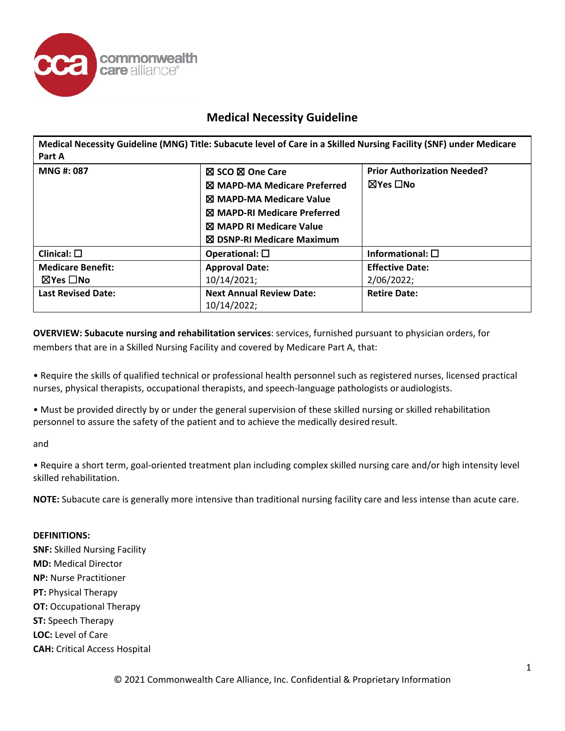

**Medical Necessity Guideline (MNG) Title: Subacute level of Care in a Skilled Nursing Facility (SNF) under Medicare Part A**

| MNG #: 087                | <b>⊠ SCO ⊠ One Care</b>                        | <b>Prior Authorization Needed?</b> |
|---------------------------|------------------------------------------------|------------------------------------|
|                           | ⊠ MAPD-MA Medicare Preferred                   | ⊠Yes □No                           |
|                           | ⊠ MAPD-MA Medicare Value                       |                                    |
|                           | <b>X MAPD-RI Medicare Preferred</b>            |                                    |
|                           | <b>X MAPD RI Medicare Value</b>                |                                    |
|                           | ⊠ DSNP-RI Medicare Maximum                     |                                    |
| Clinical: $\square$       | Operational: $\square$                         | Informational: $\square$           |
| <b>Medicare Benefit:</b>  | <b>Approval Date:</b>                          | <b>Effective Date:</b>             |
| $\boxtimes$ Yes $\Box$ No | 10/14/2021;                                    | 2/06/2022;                         |
| <b>Last Revised Date:</b> | <b>Next Annual Review Date:</b><br>10/14/2022; | <b>Retire Date:</b>                |

**OVERVIEW: Subacute nursing and rehabilitation services**: services, furnished pursuant to physician orders, for members that are in a Skilled Nursing Facility and covered by Medicare Part A, that:

• Require the skills of qualified technical or professional health personnel such as registered nurses, licensed practical nurses, physical therapists, occupational therapists, and speech-language pathologists or audiologists.

• Must be provided directly by or under the general supervision of these skilled nursing or skilled rehabilitation personnel to assure the safety of the patient and to achieve the medically desired result.

and

• Require a short term, goal-oriented treatment plan including complex skilled nursing care and/or high intensity level skilled rehabilitation.

**NOTE:** Subacute care is generally more intensive than traditional nursing facility care and less intense than acute care.

### **DEFINITIONS:**

**SNF:** Skilled Nursing Facility **MD:** Medical Director **NP:** Nurse Practitioner **PT:** Physical Therapy **OT: Occupational Therapy ST:** Speech Therapy **LOC:** Level of Care **CAH:** Critical Access Hospital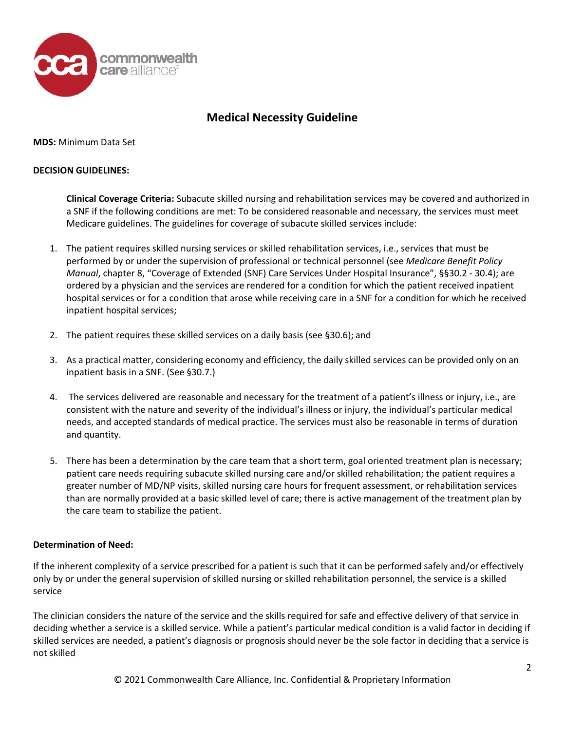

**MDS:** Minimum Data Set

## **DECISION GUIDELINES:**

**Clinical Coverage Criteria:** Subacute skilled nursing and rehabilitation services may be covered and authorized in a SNF if the following conditions are met: To be considered reasonable and necessary, the services must meet Medicare guidelines. The guidelines for coverage of subacute skilled services include:

- 1. The patient requires skilled nursing services or skilled rehabilitation services, i.e., services that must be performed by or under the supervision of professional or technical personnel (see *Medicare Benefit Policy Manual*, chapter 8, "Coverage of Extended (SNF) Care Services Under Hospital Insurance", §§30.2 - 30.4); are ordered by a physician and the services are rendered for a condition for which the patient received inpatient hospital services or for a condition that arose while receiving care in a SNF for a condition for which he received inpatient hospital services;
- 2. The patient requires these skilled services on a daily basis (see §30.6); and
- 3. As a practical matter, considering economy and efficiency, the daily skilled services can be provided only on an inpatient basis in a SNF. (See §30.7.)
- 4. The services delivered are reasonable and necessary for the treatment of a patient's illness or injury, i.e., are consistent with the nature and severity of the individual's illness or injury, the individual's particular medical needs, and accepted standards of medical practice. The services must also be reasonable in terms of duration and quantity.
- 5. There has been a determination by the care team that a short term, goal oriented treatment plan is necessary; patient care needs requiring subacute skilled nursing care and/or skilled rehabilitation; the patient requires a greater number of MD/NP visits, skilled nursing care hours for frequent assessment, or rehabilitation services than are normally provided at a basic skilled level of care; there is active management of the treatment plan by the care team to stabilize the patient.

## **Determination of Need:**

If the inherent complexity of a service prescribed for a patient is such that it can be performed safely and/or effectively only by or under the general supervision of skilled nursing or skilled rehabilitation personnel, the service is a skilled service

The clinician considers the nature of the service and the skills required for safe and effective delivery of that service in deciding whether a service is a skilled service. While a patient's particular medical condition is a valid factor in deciding if skilled services are needed, a patient's diagnosis or prognosis should never be the sole factor in deciding that a service is not skilled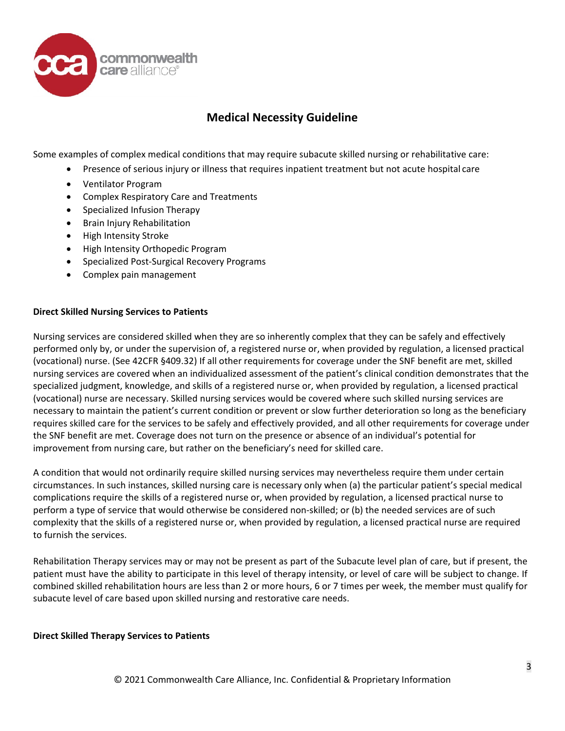

Some examples of complex medical conditions that may require subacute skilled nursing or rehabilitative care:

- Presence of serious injury or illness that requires inpatient treatment but not acute hospital care
- Ventilator Program
- Complex Respiratory Care and Treatments
- Specialized Infusion Therapy
- Brain Injury Rehabilitation
- High Intensity Stroke
- High Intensity Orthopedic Program
- Specialized Post-Surgical Recovery Programs
- Complex pain management

### **Direct Skilled Nursing Services to Patients**

Nursing services are considered skilled when they are so inherently complex that they can be safely and effectively performed only by, or under the supervision of, a registered nurse or, when provided by regulation, a licensed practical (vocational) nurse. (See 42CFR §409.32) If all other requirements for coverage under the SNF benefit are met, skilled nursing services are covered when an individualized assessment of the patient's clinical condition demonstrates that the specialized judgment, knowledge, and skills of a registered nurse or, when provided by regulation, a licensed practical (vocational) nurse are necessary. Skilled nursing services would be covered where such skilled nursing services are necessary to maintain the patient's current condition or prevent or slow further deterioration so long as the beneficiary requires skilled care for the services to be safely and effectively provided, and all other requirements for coverage under the SNF benefit are met. Coverage does not turn on the presence or absence of an individual's potential for improvement from nursing care, but rather on the beneficiary's need for skilled care.

A condition that would not ordinarily require skilled nursing services may nevertheless require them under certain circumstances. In such instances, skilled nursing care is necessary only when (a) the particular patient's special medical complications require the skills of a registered nurse or, when provided by regulation, a licensed practical nurse to perform a type of service that would otherwise be considered non-skilled; or (b) the needed services are of such complexity that the skills of a registered nurse or, when provided by regulation, a licensed practical nurse are required to furnish the services.

Rehabilitation Therapy services may or may not be present as part of the Subacute level plan of care, but if present, the patient must have the ability to participate in this level of therapy intensity, or level of care will be subject to change. If combined skilled rehabilitation hours are less than 2 or more hours, 6 or 7 times per week, the member must qualify for subacute level of care based upon skilled nursing and restorative care needs.

#### **Direct Skilled Therapy Services to Patients**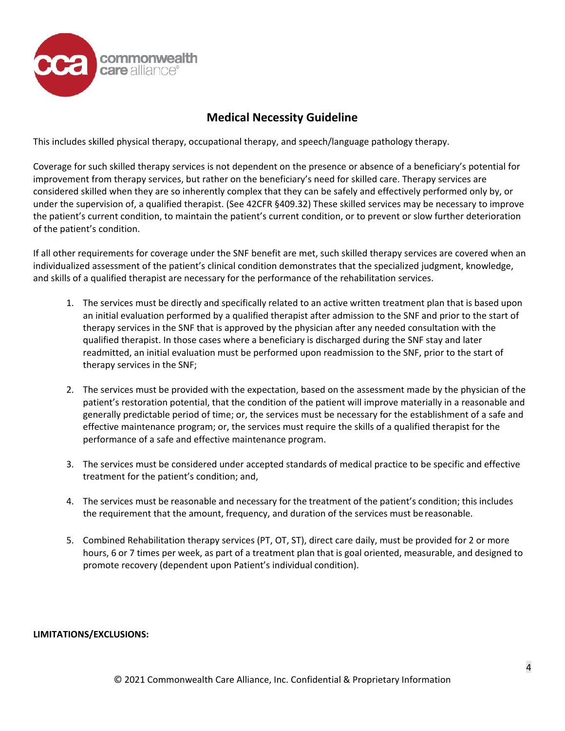

This includes skilled physical therapy, occupational therapy, and speech/language pathology therapy.

Coverage for such skilled therapy services is not dependent on the presence or absence of a beneficiary's potential for improvement from therapy services, but rather on the beneficiary's need for skilled care. Therapy services are considered skilled when they are so inherently complex that they can be safely and effectively performed only by, or under the supervision of, a qualified therapist. (See 42CFR §409.32) These skilled services may be necessary to improve the patient's current condition, to maintain the patient's current condition, or to prevent or slow further deterioration of the patient's condition.

If all other requirements for coverage under the SNF benefit are met, such skilled therapy services are covered when an individualized assessment of the patient's clinical condition demonstrates that the specialized judgment, knowledge, and skills of a qualified therapist are necessary for the performance of the rehabilitation services.

- 1. The services must be directly and specifically related to an active written treatment plan that is based upon an initial evaluation performed by a qualified therapist after admission to the SNF and prior to the start of therapy services in the SNF that is approved by the physician after any needed consultation with the qualified therapist. In those cases where a beneficiary is discharged during the SNF stay and later readmitted, an initial evaluation must be performed upon readmission to the SNF, prior to the start of therapy services in the SNF;
- 2. The services must be provided with the expectation, based on the assessment made by the physician of the patient's restoration potential, that the condition of the patient will improve materially in a reasonable and generally predictable period of time; or, the services must be necessary for the establishment of a safe and effective maintenance program; or, the services must require the skills of a qualified therapist for the performance of a safe and effective maintenance program.
- 3. The services must be considered under accepted standards of medical practice to be specific and effective treatment for the patient's condition; and,
- 4. The services must be reasonable and necessary for the treatment of the patient's condition; this includes the requirement that the amount, frequency, and duration of the services must be reasonable.
- 5. Combined Rehabilitation therapy services (PT, OT, ST), direct care daily, must be provided for 2 or more hours, 6 or 7 times per week, as part of a treatment plan that is goal oriented, measurable, and designed to promote recovery (dependent upon Patient's individual condition).

### **LIMITATIONS/EXCLUSIONS:**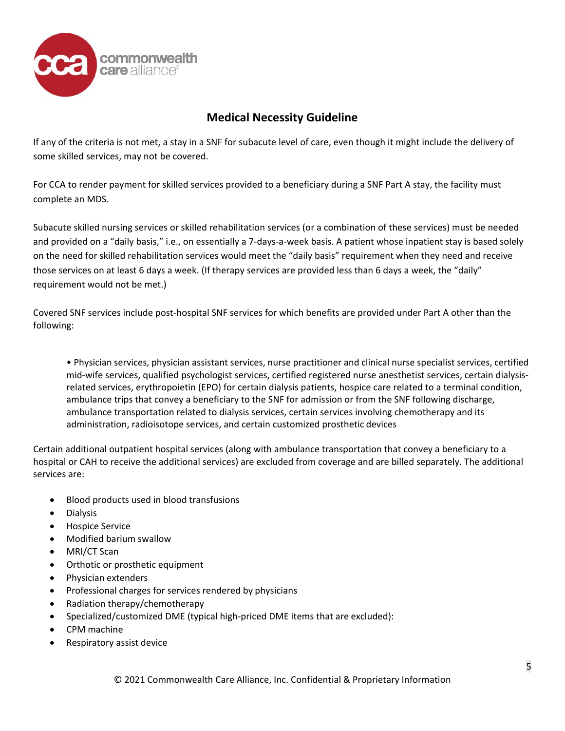

If any of the criteria is not met, a stay in a SNF for subacute level of care, even though it might include the delivery of some skilled services, may not be covered.

For CCA to render payment for skilled services provided to a beneficiary during a SNF Part A stay, the facility must complete an MDS.

Subacute skilled nursing services or skilled rehabilitation services (or a combination of these services) must be needed and provided on a "daily basis," i.e., on essentially a 7-days-a-week basis. A patient whose inpatient stay is based solely on the need for skilled rehabilitation services would meet the "daily basis" requirement when they need and receive those services on at least 6 days a week. (If therapy services are provided less than 6 days a week, the "daily" requirement would not be met.)

Covered SNF services include post-hospital SNF services for which benefits are provided under Part A other than the following:

• Physician services, physician assistant services, nurse practitioner and clinical nurse specialist services, certified mid-wife services, qualified psychologist services, certified registered nurse anesthetist services, certain dialysisrelated services, erythropoietin (EPO) for certain dialysis patients, hospice care related to a terminal condition, ambulance trips that convey a beneficiary to the SNF for admission or from the SNF following discharge, ambulance transportation related to dialysis services, certain services involving chemotherapy and its administration, radioisotope services, and certain customized prosthetic devices

Certain additional outpatient hospital services (along with ambulance transportation that convey a beneficiary to a hospital or CAH to receive the additional services) are excluded from coverage and are billed separately. The additional services are:

- Blood products used in blood transfusions
- Dialysis
- Hospice Service
- Modified barium swallow
- MRI/CT Scan
- Orthotic or prosthetic equipment
- Physician extenders
- Professional charges for services rendered by physicians
- Radiation therapy/chemotherapy
- Specialized/customized DME (typical high-priced DME items that are excluded):
- CPM machine
- Respiratory assist device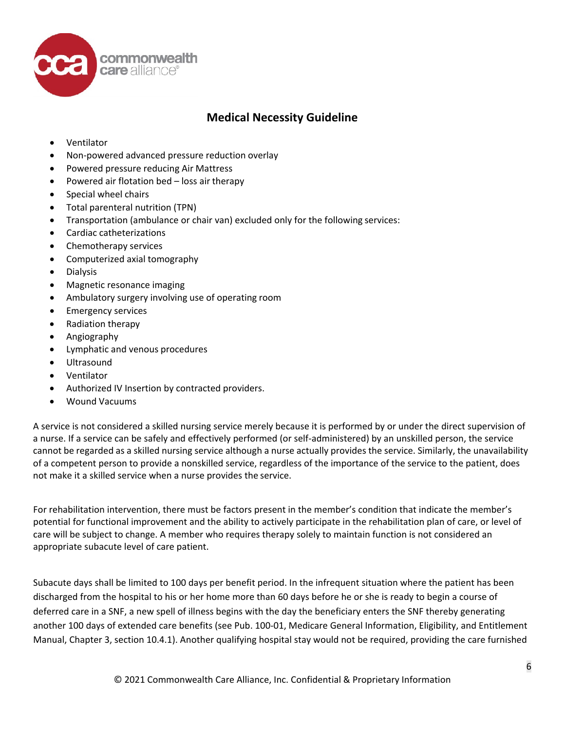

- Ventilator
- Non-powered advanced pressure reduction overlay
- Powered pressure reducing Air Mattress
- Powered air flotation bed loss air therapy
- Special wheel chairs
- Total parenteral nutrition (TPN)
- Transportation (ambulance or chair van) excluded only for the following services:
- Cardiac catheterizations
- Chemotherapy services
- Computerized axial tomography
- Dialysis
- Magnetic resonance imaging
- Ambulatory surgery involving use of operating room
- Emergency services
- Radiation therapy
- Angiography
- Lymphatic and venous procedures
- Ultrasound
- Ventilator
- Authorized IV Insertion by contracted providers.
- Wound Vacuums

A service is not considered a skilled nursing service merely because it is performed by or under the direct supervision of a nurse. If a service can be safely and effectively performed (or self-administered) by an unskilled person, the service cannot be regarded as a skilled nursing service although a nurse actually provides the service. Similarly, the unavailability of a competent person to provide a nonskilled service, regardless of the importance of the service to the patient, does not make it a skilled service when a nurse provides the service.

For rehabilitation intervention, there must be factors present in the member's condition that indicate the member's potential for functional improvement and the ability to actively participate in the rehabilitation plan of care, or level of care will be subject to change. A member who requires therapy solely to maintain function is not considered an appropriate subacute level of care patient.

Subacute days shall be limited to 100 days per benefit period. In the infrequent situation where the patient has been discharged from the hospital to his or her home more than 60 days before he or she is ready to begin a course of deferred care in a SNF, a new spell of illness begins with the day the beneficiary enters the SNF thereby generating another 100 days of extended care benefits (see Pub. 100-01, Medicare General Information, Eligibility, and Entitlement Manual, Chapter 3, section 10.4.1). Another qualifying hospital stay would not be required, providing the care furnished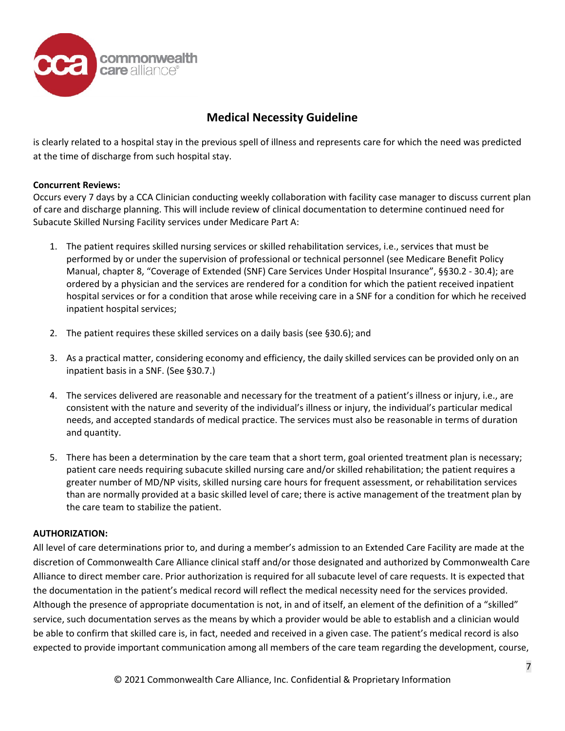

is clearly related to a hospital stay in the previous spell of illness and represents care for which the need was predicted at the time of discharge from such hospital stay.

## **Concurrent Reviews:**

Occurs every 7 days by a CCA Clinician conducting weekly collaboration with facility case manager to discuss current plan of care and discharge planning. This will include review of clinical documentation to determine continued need for Subacute Skilled Nursing Facility services under Medicare Part A:

- 1. The patient requires skilled nursing services or skilled rehabilitation services, i.e., services that must be performed by or under the supervision of professional or technical personnel (see Medicare Benefit Policy Manual, chapter 8, "Coverage of Extended (SNF) Care Services Under Hospital Insurance", §§30.2 - 30.4); are ordered by a physician and the services are rendered for a condition for which the patient received inpatient hospital services or for a condition that arose while receiving care in a SNF for a condition for which he received inpatient hospital services;
- 2. The patient requires these skilled services on a daily basis (see §30.6); and
- 3. As a practical matter, considering economy and efficiency, the daily skilled services can be provided only on an inpatient basis in a SNF. (See §30.7.)
- 4. The services delivered are reasonable and necessary for the treatment of a patient's illness or injury, i.e., are consistent with the nature and severity of the individual's illness or injury, the individual's particular medical needs, and accepted standards of medical practice. The services must also be reasonable in terms of duration and quantity.
- 5. There has been a determination by the care team that a short term, goal oriented treatment plan is necessary; patient care needs requiring subacute skilled nursing care and/or skilled rehabilitation; the patient requires a greater number of MD/NP visits, skilled nursing care hours for frequent assessment, or rehabilitation services than are normally provided at a basic skilled level of care; there is active management of the treatment plan by the care team to stabilize the patient.

## **AUTHORIZATION:**

All level of care determinations prior to, and during a member's admission to an Extended Care Facility are made at the discretion of Commonwealth Care Alliance clinical staff and/or those designated and authorized by Commonwealth Care Alliance to direct member care. Prior authorization is required for all subacute level of care requests. It is expected that the documentation in the patient's medical record will reflect the medical necessity need for the services provided. Although the presence of appropriate documentation is not, in and of itself, an element of the definition of a "skilled" service, such documentation serves as the means by which a provider would be able to establish and a clinician would be able to confirm that skilled care is, in fact, needed and received in a given case. The patient's medical record is also expected to provide important communication among all members of the care team regarding the development, course,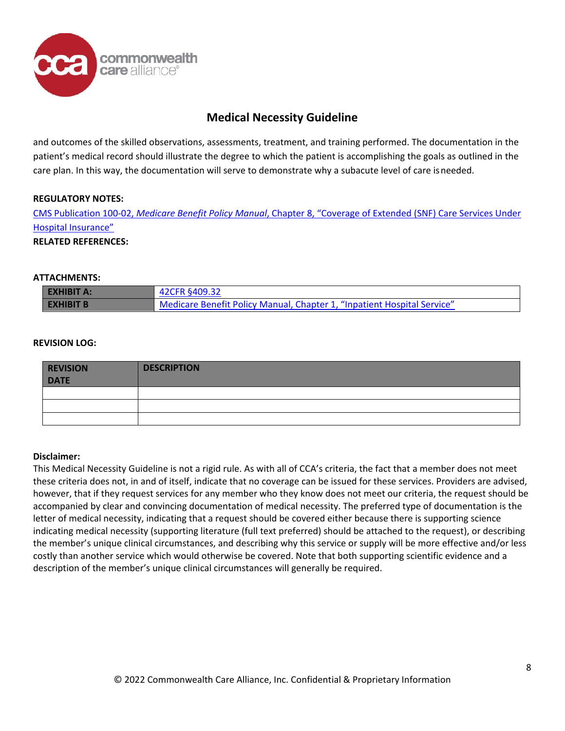

and outcomes of the skilled observations, assessments, treatment, and training performed. The documentation in the patient's medical record should illustrate the degree to which the patient is accomplishing the goals as outlined in the care plan. In this way, the documentation will serve to demonstrate why a subacute level of care isneeded.

### **REGULATORY NOTES:**

CMS [Publication](https://www.cms.gov/Regulations-and-Guidance/Guidance/Manuals/Downloads/bp102c08pdf.pdf) 100-02, *Medicare Benefit Policy Manual*, Chapter 8, "Coverage of Extended (SNF) Care Services Under Hospital [Insurance"](https://www.cms.gov/Regulations-and-Guidance/Guidance/Manuals/Downloads/bp102c08pdf.pdf)

#### **RELATED REFERENCES:**

#### **ATTACHMENTS:**

| <b>EXHIBIT A:</b> | 42CFR §409.32                                                           |  |
|-------------------|-------------------------------------------------------------------------|--|
| <b>EXHIBIT B</b>  | Medicare Benefit Policy Manual, Chapter 1, "Inpatient Hospital Service" |  |

#### **REVISION LOG:**

| <b>REVISION</b><br><b>DATE</b> | <b>DESCRIPTION</b> |
|--------------------------------|--------------------|
|                                |                    |
|                                |                    |
|                                |                    |

#### **Disclaimer:**

This Medical Necessity Guideline is not a rigid rule. As with all of CCA's criteria, the fact that a member does not meet these criteria does not, in and of itself, indicate that no coverage can be issued for these services. Providers are advised, however, that if they request services for any member who they know does not meet our criteria, the request should be accompanied by clear and convincing documentation of medical necessity. The preferred type of documentation is the letter of medical necessity, indicating that a request should be covered either because there is supporting science indicating medical necessity (supporting literature (full text preferred) should be attached to the request), or describing the member's unique clinical circumstances, and describing why this service or supply will be more effective and/or less costly than another service which would otherwise be covered. Note that both supporting scientific evidence and a description of the member's unique clinical circumstances will generally be required.